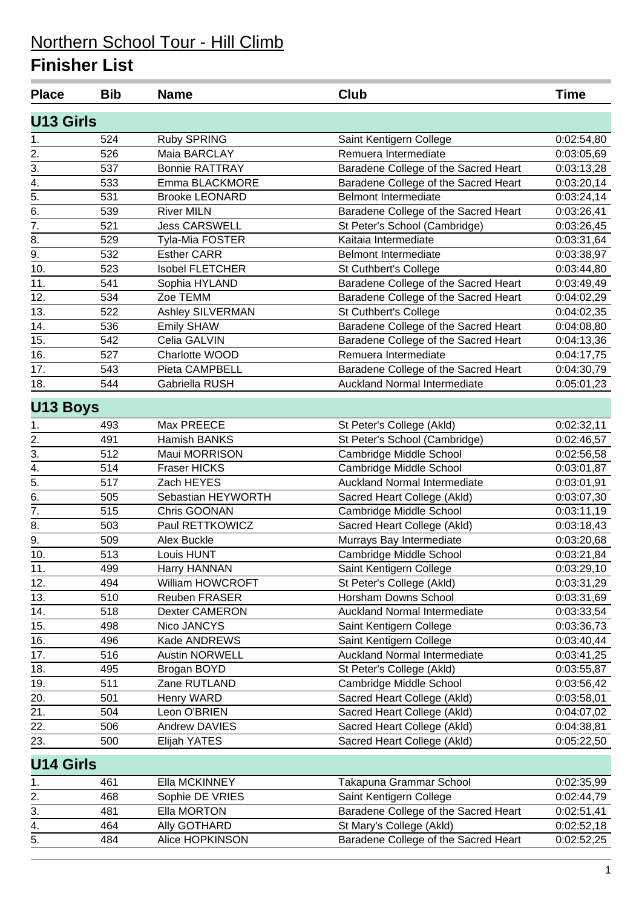| <b>Place</b>     | <b>Bib</b> | <b>Name</b>            | <b>Club</b>                          | <b>Time</b> |
|------------------|------------|------------------------|--------------------------------------|-------------|
| <b>U13 Girls</b> |            |                        |                                      |             |
| 1.               | 524        | Ruby SPRING            | Saint Kentigern College              | 0:02:54,80  |
| 2.               | 526        | Maia BARCLAY           | Remuera Intermediate                 | 0:03:05,69  |
| 3.               | 537        | <b>Bonnie RATTRAY</b>  | Baradene College of the Sacred Heart | 0:03:13,28  |
| 4.               | 533        | Emma BLACKMORE         | Baradene College of the Sacred Heart | 0:03:20,14  |
| 5.               | 531        | <b>Brooke LEONARD</b>  | <b>Belmont Intermediate</b>          | 0:03:24,14  |
| 6.               | 539        | <b>River MILN</b>      | Baradene College of the Sacred Heart | 0:03:26,41  |
| $\overline{7}$ . | 521        | <b>Jess CARSWELL</b>   | St Peter's School (Cambridge)        | 0:03:26,45  |
| 8.               | 529        | Tyla-Mia FOSTER        | Kaitaia Intermediate                 | 0:03:31,64  |
| 9.               | 532        | <b>Esther CARR</b>     | <b>Belmont Intermediate</b>          | 0:03:38,97  |
| 10.              | 523        | <b>Isobel FLETCHER</b> | St Cuthbert's College                | 0:03:44,80  |
| 11.              | 541        | Sophia HYLAND          | Baradene College of the Sacred Heart | 0:03:49,49  |
| 12.              | 534        | Zoe TEMM               | Baradene College of the Sacred Heart | 0:04:02,29  |
| 13.              | 522        | Ashley SILVERMAN       | St Cuthbert's College                | 0:04:02,35  |
| 14.              | 536        | Emily SHAW             | Baradene College of the Sacred Heart | 0:04:08,80  |
| 15.              | 542        | Celia GALVIN           | Baradene College of the Sacred Heart | 0:04:13,36  |
| 16.              | 527        | Charlotte WOOD         | Remuera Intermediate                 | 0:04:17,75  |
| 17.              | 543        | Pieta CAMPBELL         | Baradene College of the Sacred Heart | 0:04:30,79  |
| 18.              | 544        | Gabriella RUSH         | <b>Auckland Normal Intermediate</b>  | 0:05:01,23  |
| <b>U13 Boys</b>  |            |                        |                                      |             |
| 1.               | 493        | Max PREECE             | St Peter's College (Akld)            | 0:02:32,11  |
| 2.               | 491        | Hamish BANKS           | St Peter's School (Cambridge)        | 0:02:46,57  |
| $\overline{3}$ . | 512        | Maui MORRISON          | Cambridge Middle School              | 0:02:56,58  |
| 4.               | 514        | <b>Fraser HICKS</b>    | Cambridge Middle School              | 0:03:01,87  |
| $\overline{5}$ . | 517        | Zach HEYES             | Auckland Normal Intermediate         | 0:03:01,91  |
| 6.               | 505        | Sebastian HEYWORTH     | Sacred Heart College (Akld)          | 0:03:07,30  |
| $\overline{7}$ . | 515        | Chris GOONAN           | Cambridge Middle School              | 0:03:11,19  |
| 8.               | 503        | Paul RETTKOWICZ        | Sacred Heart College (Akld)          | 0:03:18,43  |
| $\overline{9}$ . | 509        | Alex Buckle            | Murrays Bay Intermediate             | 0:03:20,68  |
| 10.              | 513        | Louis HUNT             | Cambridge Middle School              | 0:03:21,84  |
| 11.              | 499        | Harry HANNAN           | Saint Kentigern College              | 0:03:29,10  |
| 12.              | 494        | William HOWCROFT       | St Peter's College (Akld)            | 0:03:31,29  |
| 13.              | 510        | <b>Reuben FRASER</b>   | Horsham Downs School                 | 0:03:31,69  |
| 14.              | 518        | Dexter CAMERON         | <b>Auckland Normal Intermediate</b>  | 0:03:33,54  |
| 15.              | 498        | Nico JANCYS            | Saint Kentigern College              | 0:03:36,73  |
| 16.              | 496        | Kade ANDREWS           | Saint Kentigern College              | 0:03:40,44  |
| 17.              | 516        | <b>Austin NORWELL</b>  | Auckland Normal Intermediate         | 0:03:41,25  |
| 18.              | 495        | Brogan BOYD            | St Peter's College (Akld)            | 0:03:55,87  |
| 19.              | 511        | Zane RUTLAND           | Cambridge Middle School              | 0:03:56,42  |
| 20.              | 501        | Henry WARD             | Sacred Heart College (Akld)          | 0:03:58,01  |
| 21.              | 504        | Leon O'BRIEN           | Sacred Heart College (Akld)          | 0:04:07,02  |
| 22.              | 506        | Andrew DAVIES          | Sacred Heart College (Akld)          | 0:04:38,81  |
| 23.              | 500        | Elijah YATES           | Sacred Heart College (Akld)          | 0:05:22,50  |
| <b>U14 Girls</b> |            |                        |                                      |             |
| 1.               | 461        | Ella MCKINNEY          | Takapuna Grammar School              | 0:02:35,99  |
| 2.               | 468        | Sophie DE VRIES        | Saint Kentigern College              | 0:02:44,79  |
| 3.               | 481        | Ella MORTON            | Baradene College of the Sacred Heart | 0:02:51,41  |
| 4.               | 464        | Ally GOTHARD           | St Mary's College (Akld)             | 0:02:52,18  |
| 5.               | 484        | Alice HOPKINSON        | Baradene College of the Sacred Heart | 0:02:52,25  |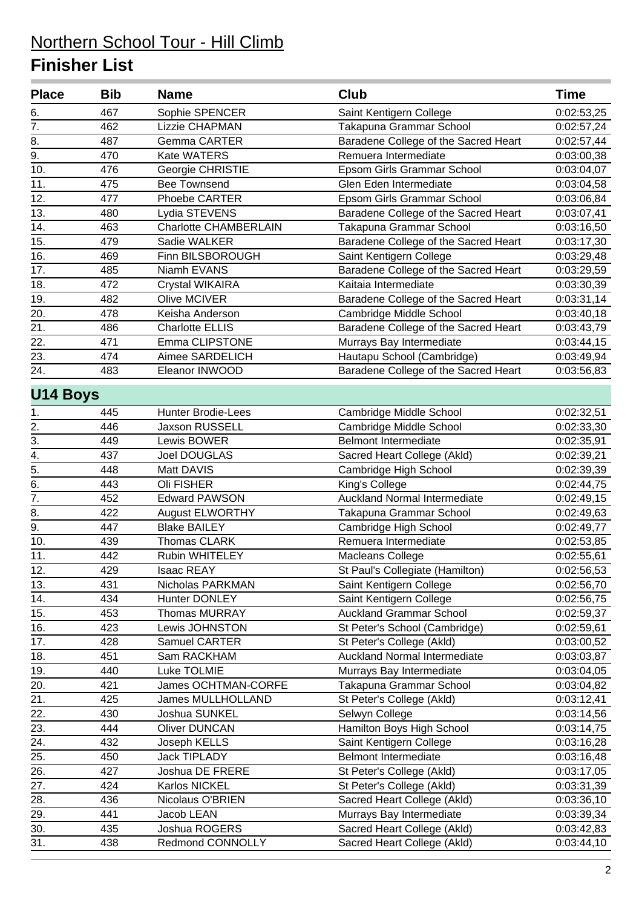| <b>Place</b>      | <b>Bib</b> | <b>Name</b>                  | <b>Club</b>                          | <b>Time</b> |
|-------------------|------------|------------------------------|--------------------------------------|-------------|
| 6.                | 467        | Sophie SPENCER               | Saint Kentigern College              | 0:02:53,25  |
| 7.                | 462        | Lizzie CHAPMAN               | Takapuna Grammar School              | 0:02:57,24  |
| 8.                | 487        | Gemma CARTER                 | Baradene College of the Sacred Heart | 0:02:57,44  |
| 9.                | 470        | Kate WATERS                  | Remuera Intermediate                 | 0:03:00,38  |
| 10.               | 476        | Georgie CHRISTIE             | Epsom Girls Grammar School           | 0:03:04,07  |
| 11.               | 475        | <b>Bee Townsend</b>          | Glen Eden Intermediate               | 0:03:04,58  |
| 12.               | 477        | Phoebe CARTER                | Epsom Girls Grammar School           | 0:03:06,84  |
| 13.               | 480        | Lydia STEVENS                | Baradene College of the Sacred Heart | 0:03:07,41  |
| 14.               | 463        | <b>Charlotte CHAMBERLAIN</b> | Takapuna Grammar School              | 0:03:16,50  |
| 15.               | 479        | Sadie WALKER                 | Baradene College of the Sacred Heart | 0:03:17,30  |
| 16.               | 469        | Finn BILSBOROUGH             | Saint Kentigern College              | 0:03:29,48  |
| 17.               | 485        | Niamh EVANS                  | Baradene College of the Sacred Heart | 0:03:29,59  |
| 18.               | 472        | Crystal WIKAIRA              | Kaitaia Intermediate                 | 0:03:30,39  |
| 19.               | 482        | Olive MCIVER                 | Baradene College of the Sacred Heart | 0:03:31,14  |
| 20.               | 478        | Keisha Anderson              | Cambridge Middle School              | 0:03:40,18  |
| $\overline{21}$ . | 486        | <b>Charlotte ELLIS</b>       | Baradene College of the Sacred Heart | 0:03:43,79  |
| 22.               | 471        | Emma CLIPSTONE               | Murrays Bay Intermediate             | 0:03:44,15  |
| 23.               | 474        | Aimee SARDELICH              | Hautapu School (Cambridge)           | 0:03:49,94  |
| 24.               | 483        | Eleanor INWOOD               | Baradene College of the Sacred Heart | 0:03:56,83  |
| U14 Boys          |            |                              |                                      |             |
| 1.                | 445        | <b>Hunter Brodie-Lees</b>    | Cambridge Middle School              | 0:02:32,51  |
| 2.                | 446        | Jaxson RUSSELL               | Cambridge Middle School              | 0:02:33,30  |
| $\overline{3}$ .  | 449        | Lewis BOWER                  | <b>Belmont Intermediate</b>          | 0:02:35,91  |
| $\overline{4}$ .  | 437        | <b>Joel DOUGLAS</b>          | Sacred Heart College (Akld)          | 0:02:39,21  |
| $\overline{5}$ .  | 448        | Matt DAVIS                   | Cambridge High School                | 0:02:39,39  |
| 6.                | 443        | Oli FISHER                   | King's College                       | 0:02:44,75  |
| $\overline{7}$ .  | 452        | <b>Edward PAWSON</b>         | Auckland Normal Intermediate         | 0:02:49,15  |
| 8.                | 422        | <b>August ELWORTHY</b>       | Takapuna Grammar School              | 0:02:49,63  |
| $\overline{9}$ .  | 447        | <b>Blake BAILEY</b>          | Cambridge High School                | 0:02:49,77  |
| 10.               | 439        | <b>Thomas CLARK</b>          | Remuera Intermediate                 | 0:02:53,85  |
| 11.               | 442        | Rubin WHITELEY               | Macleans College                     | 0:02:55,61  |
| 12.               | 429        | Isaac REAY                   | St Paul's Collegiate (Hamilton)      | 0:02:56,53  |
| 13.               | 431        | Nicholas PARKMAN             | Saint Kentigern College              | 0:02:56,70  |
| 14.               | 434        | Hunter DONLEY                | Saint Kentigern College              | 0:02:56,75  |
| 15.               | 453        | <b>Thomas MURRAY</b>         | <b>Auckland Grammar School</b>       | 0:02:59,37  |
| 16.               | 423        | Lewis JOHNSTON               | St Peter's School (Cambridge)        | 0:02:59,61  |
| 17.               | 428        | Samuel CARTER                | St Peter's College (Akld)            | 0:03:00,52  |
| 18.               | 451        | Sam RACKHAM                  | <b>Auckland Normal Intermediate</b>  | 0:03:03,87  |
| 19.               | 440        | Luke TOLMIE                  | Murrays Bay Intermediate             | 0:03:04,05  |
| 20.               | 421        | James OCHTMAN-CORFE          | Takapuna Grammar School              | 0:03:04,82  |
| 21.               | 425        | James MULLHOLLAND            | St Peter's College (Akld)            | 0:03:12,41  |
| 22.               | 430        | Joshua SUNKEL                | Selwyn College                       | 0:03:14,56  |
| 23.               | 444        | <b>Oliver DUNCAN</b>         | Hamilton Boys High School            | 0:03:14,75  |
| 24.               | 432        | Joseph KELLS                 | Saint Kentigern College              | 0:03:16,28  |
| 25.               | 450        | <b>Jack TIPLADY</b>          | Belmont Intermediate                 | 0:03:16,48  |
| 26.               | 427        | Joshua DE FRERE              | St Peter's College (Akld)            | 0:03:17,05  |
| 27.               | 424        | Karlos NICKEL                | St Peter's College (Akld)            | 0:03:31,39  |
| 28.               | 436        | Nicolaus O'BRIEN             | Sacred Heart College (Akld)          | 0:03:36,10  |
| 29.               | 441        | Jacob LEAN                   | Murrays Bay Intermediate             | 0:03:39,34  |
| 30.               | 435        | Joshua ROGERS                | Sacred Heart College (Akld)          | 0:03:42,83  |
|                   | 438        | Redmond CONNOLLY             | Sacred Heart College (Akld)          | 0:03:44,10  |
| 31.               |            |                              |                                      |             |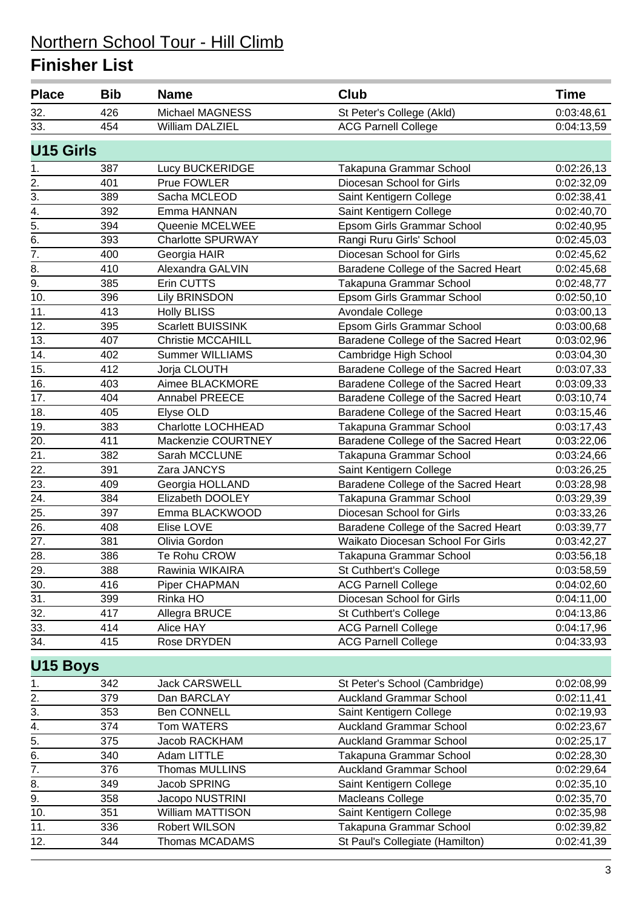| <b>Place</b>      | <b>Bib</b> | <b>Name</b>              | Club                                 | <b>Time</b> |
|-------------------|------------|--------------------------|--------------------------------------|-------------|
| 32.               | 426        | Michael MAGNESS          | St Peter's College (Akld)            | 0:03:48,61  |
| 33.               | 454        | William DALZIEL          | <b>ACG Parnell College</b>           | 0:04:13,59  |
| <b>U15 Girls</b>  |            |                          |                                      |             |
| 1.                | 387        | Lucy BUCKERIDGE          | Takapuna Grammar School              | 0:02:26,13  |
| $\overline{2}$ .  | 401        | Prue FOWLER              | Diocesan School for Girls            | 0:02:32,09  |
| $\overline{3}$ .  | 389        | Sacha MCLEOD             | Saint Kentigern College              | 0:02:38,41  |
| $\overline{4}$ .  | 392        | Emma HANNAN              | Saint Kentigern College              | 0:02:40,70  |
| $\overline{5}$ .  | 394        | Queenie MCELWEE          | Epsom Girls Grammar School           | 0:02:40,95  |
| $\overline{6}$ .  | 393        | <b>Charlotte SPURWAY</b> | Rangi Ruru Girls' School             | 0:02:45,03  |
| $\overline{7}$ .  | 400        | Georgia HAIR             | Diocesan School for Girls            | 0:02:45,62  |
| 8.                | 410        | Alexandra GALVIN         | Baradene College of the Sacred Heart | 0:02:45,68  |
| 9.                | 385        | Erin CUTTS               | Takapuna Grammar School              | 0:02:48,77  |
| 10.               | 396        | <b>Lily BRINSDON</b>     | Epsom Girls Grammar School           | 0:02:50,10  |
| 11.               | 413        | <b>Holly BLISS</b>       | Avondale College                     | 0:03:00,13  |
| 12.               | 395        | <b>Scarlett BUISSINK</b> | Epsom Girls Grammar School           | 0:03:00,68  |
| 13.               | 407        | <b>Christie MCCAHILL</b> | Baradene College of the Sacred Heart | 0:03:02,96  |
| 14.               | 402        | <b>Summer WILLIAMS</b>   | Cambridge High School                | 0:03:04,30  |
| 15.               | 412        | Jorja CLOUTH             | Baradene College of the Sacred Heart | 0:03:07,33  |
| 16.               | 403        | Aimee BLACKMORE          | Baradene College of the Sacred Heart | 0:03:09,33  |
| 17.               | 404        | Annabel PREECE           | Baradene College of the Sacred Heart | 0:03:10,74  |
| 18.               | 405        | Elyse OLD                | Baradene College of the Sacred Heart | 0:03:15,46  |
| 19.               | 383        | Charlotte LOCHHEAD       | Takapuna Grammar School              | 0:03:17,43  |
| 20.               | 411        | Mackenzie COURTNEY       | Baradene College of the Sacred Heart | 0:03:22,06  |
| 21.               | 382        | Sarah MCCLUNE            | Takapuna Grammar School              | 0:03:24,66  |
| 22.               | 391        | Zara JANCYS              | Saint Kentigern College              | 0:03:26,25  |
| 23.               | 409        | Georgia HOLLAND          | Baradene College of the Sacred Heart | 0:03:28,98  |
| 24.               | 384        | Elizabeth DOOLEY         | Takapuna Grammar School              | 0:03:29,39  |
| 25.               | 397        | Emma BLACKWOOD           | Diocesan School for Girls            | 0:03:33,26  |
| $\overline{26}$ . | 408        | Elise LOVE               | Baradene College of the Sacred Heart | 0:03:39,77  |
| $\overline{27}$ . | 381        | Olivia Gordon            | Waikato Diocesan School For Girls    | 0:03:42,27  |
| 28.               | 386        | Te Rohu CROW             | Takapuna Grammar School              | 0:03:56,18  |
| 29.               | 388        | Rawinia WIKAIRA          | St Cuthbert's College                | 0:03:58,59  |
| 30.               | 416        | Piper CHAPMAN            | <b>ACG Parnell College</b>           | 0:04:02,60  |
| 31.               | 399        | Rinka HO                 | Diocesan School for Girls            | 0:04:11,00  |
| 32.               | 417        | Allegra BRUCE            | St Cuthbert's College                | 0:04:13,86  |
| 33.               | 414        | Alice HAY                | <b>ACG Parnell College</b>           | 0:04:17,96  |
| 34.               | 415        | Rose DRYDEN              | <b>ACG Parnell College</b>           | 0:04:33,93  |
| U15 Boys          |            |                          |                                      |             |
| 1.                | 342        | <b>Jack CARSWELL</b>     | St Peter's School (Cambridge)        | 0:02:08,99  |
| 2.                | 379        | Dan BARCLAY              | <b>Auckland Grammar School</b>       | 0:02:11,41  |
| $\overline{3}$ .  | 353        | <b>Ben CONNELL</b>       | Saint Kentigern College              | 0:02:19,93  |
| $\frac{4}{5}$     | 374        | <b>Tom WATERS</b>        | <b>Auckland Grammar School</b>       | 0:02:23,67  |
|                   | 375        | Jacob RACKHAM            | <b>Auckland Grammar School</b>       | 0:02:25,17  |
| 6.                | 340        | Adam LITTLE              | Takapuna Grammar School              | 0:02:28,30  |
| $\overline{7}$ .  | 376        | <b>Thomas MULLINS</b>    | <b>Auckland Grammar School</b>       | 0:02:29,64  |
| 8.                | 349        | Jacob SPRING             | Saint Kentigern College              | 0:02:35,10  |
| $\overline{9}$ .  | 358        | Jacopo NUSTRINI          | <b>Macleans College</b>              | 0:02:35,70  |
| 10.               | 351        | William MATTISON         | Saint Kentigern College              | 0:02:35,98  |
| 11.               | 336        | Robert WILSON            | Takapuna Grammar School              | 0:02:39,82  |
| 12.               | 344        | Thomas MCADAMS           | St Paul's Collegiate (Hamilton)      | 0:02:41,39  |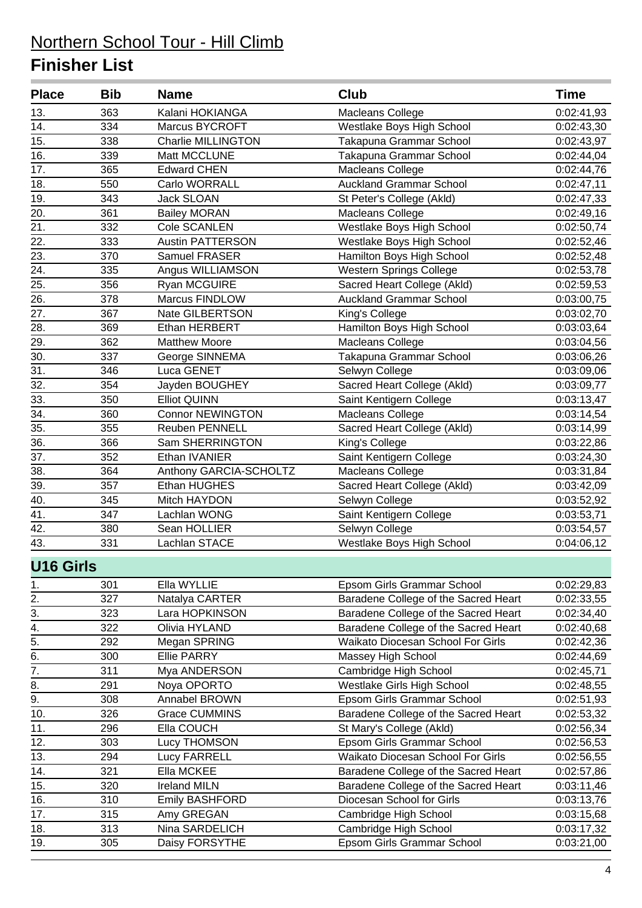| <b>Place</b>      | <b>Bib</b> | <b>Name</b>               | Club                                 | <b>Time</b> |
|-------------------|------------|---------------------------|--------------------------------------|-------------|
| 13.               | 363        | Kalani HOKIANGA           | Macleans College                     | 0:02:41,93  |
| 14.               | 334        | Marcus BYCROFT            | Westlake Boys High School            | 0:02:43,30  |
| 15.               | 338        | <b>Charlie MILLINGTON</b> | Takapuna Grammar School              | 0:02:43,97  |
| 16.               | 339        | Matt MCCLUNE              | Takapuna Grammar School              | 0:02:44,04  |
| 17.               | 365        | <b>Edward CHEN</b>        | Macleans College                     | 0:02:44,76  |
| 18.               | 550        | Carlo WORRALL             | <b>Auckland Grammar School</b>       | 0:02:47,11  |
| 19.               | 343        | Jack SLOAN                | St Peter's College (Akld)            | 0:02:47,33  |
| $\overline{20}$ . | 361        | <b>Bailey MORAN</b>       | Macleans College                     | 0:02:49,16  |
| $\overline{21}$ . | 332        | Cole SCANLEN              | Westlake Boys High School            | 0:02:50,74  |
| 22.               | 333        | <b>Austin PATTERSON</b>   | Westlake Boys High School            | 0:02:52,46  |
| 23.               | 370        | Samuel FRASER             | Hamilton Boys High School            | 0:02:52,48  |
| $\overline{24}$ . | 335        | Angus WILLIAMSON          | <b>Western Springs College</b>       | 0:02:53,78  |
| 25.               | 356        | Ryan MCGUIRE              | Sacred Heart College (Akld)          | 0:02:59,53  |
| 26.               | 378        | <b>Marcus FINDLOW</b>     | <b>Auckland Grammar School</b>       | 0:03:00,75  |
| 27.               | 367        | Nate GILBERTSON           | King's College                       | 0:03:02,70  |
| 28.               | 369        | Ethan HERBERT             | Hamilton Boys High School            | 0:03:03,64  |
| 29.               | 362        | <b>Matthew Moore</b>      | Macleans College                     | 0:03:04,56  |
| 30.               | 337        | George SINNEMA            | Takapuna Grammar School              | 0:03:06,26  |
| $\overline{31}$ . | 346        | Luca GENET                | Selwyn College                       | 0:03:09,06  |
| $\overline{32.}$  | 354        | Jayden BOUGHEY            | Sacred Heart College (Akld)          | 0:03:09,77  |
| 33.               | 350        | <b>Elliot QUINN</b>       | Saint Kentigern College              | 0:03:13,47  |
| 34.               | 360        | <b>Connor NEWINGTON</b>   | Macleans College                     | 0:03:14,54  |
| 35.               | 355        | <b>Reuben PENNELL</b>     | Sacred Heart College (Akld)          | 0:03:14,99  |
| $\overline{36}$ . | 366        | Sam SHERRINGTON           | King's College                       | 0:03:22,86  |
| 37.               | 352        | Ethan IVANIER             | Saint Kentigern College              | 0:03:24,30  |
| 38.               | 364        | Anthony GARCIA-SCHOLTZ    | Macleans College                     | 0:03:31,84  |
| 39.               | 357        | Ethan HUGHES              | Sacred Heart College (Akld)          | 0:03:42,09  |
| $\overline{40}$ . | 345        | Mitch HAYDON              | Selwyn College                       | 0:03:52,92  |
| 41.               | 347        | Lachlan WONG              | Saint Kentigern College              | 0:03:53,71  |
| 42.               | 380        | Sean HOLLIER              | Selwyn College                       | 0:03:54,57  |
| 43.               | 331        | Lachlan STACE             | Westlake Boys High School            | 0:04:06,12  |
| <b>U16 Girls</b>  |            |                           |                                      |             |
| 1.                | 301        | Ella WYLLIE               | Epsom Girls Grammar School           | 0:02:29,83  |
| 2.                | 327        | Natalya CARTER            | Baradene College of the Sacred Heart | 0:02:33,55  |
| 3.                | 323        | Lara HOPKINSON            | Baradene College of the Sacred Heart | 0:02:34,40  |
| 4.                | 322        | Olivia HYLAND             | Baradene College of the Sacred Heart | 0:02:40,68  |
| $\overline{5}$ .  | 292        | Megan SPRING              | Waikato Diocesan School For Girls    | 0:02:42,36  |
| $\overline{6}$ .  | 300        | <b>Ellie PARRY</b>        | Massey High School                   | 0:02:44,69  |
| $\overline{7}$ .  | 311        | Mya ANDERSON              | Cambridge High School                | 0:02:45,71  |
| 8.                | 291        | Noya OPORTO               | Westlake Girls High School           | 0:02:48,55  |
| 9.                | 308        | Annabel BROWN             | Epsom Girls Grammar School           | 0:02:51,93  |
| 10.               | 326        | <b>Grace CUMMINS</b>      | Baradene College of the Sacred Heart | 0:02:53,32  |
| 11.               | 296        | Ella COUCH                | St Mary's College (Akld)             | 0:02:56,34  |
| 12.               | 303        | Lucy THOMSON              | Epsom Girls Grammar School           | 0:02:56,53  |
| 13.               | 294        | <b>Lucy FARRELL</b>       | Waikato Diocesan School For Girls    | 0:02:56,55  |
| 14.               | 321        | Ella MCKEE                | Baradene College of the Sacred Heart | 0:02:57,86  |
| 15.               | 320        | <b>Ireland MILN</b>       | Baradene College of the Sacred Heart | 0:03:11,46  |
| 16.               | 310        | <b>Emily BASHFORD</b>     | Diocesan School for Girls            | 0:03:13,76  |
| 17.               | 315        | Amy GREGAN                | Cambridge High School                | 0:03:15,68  |
| 18.               | 313        | Nina SARDELICH            | Cambridge High School                | 0:03:17,32  |
| 19.               | 305        | Daisy FORSYTHE            | Epsom Girls Grammar School           | 0:03:21,00  |
|                   |            |                           |                                      |             |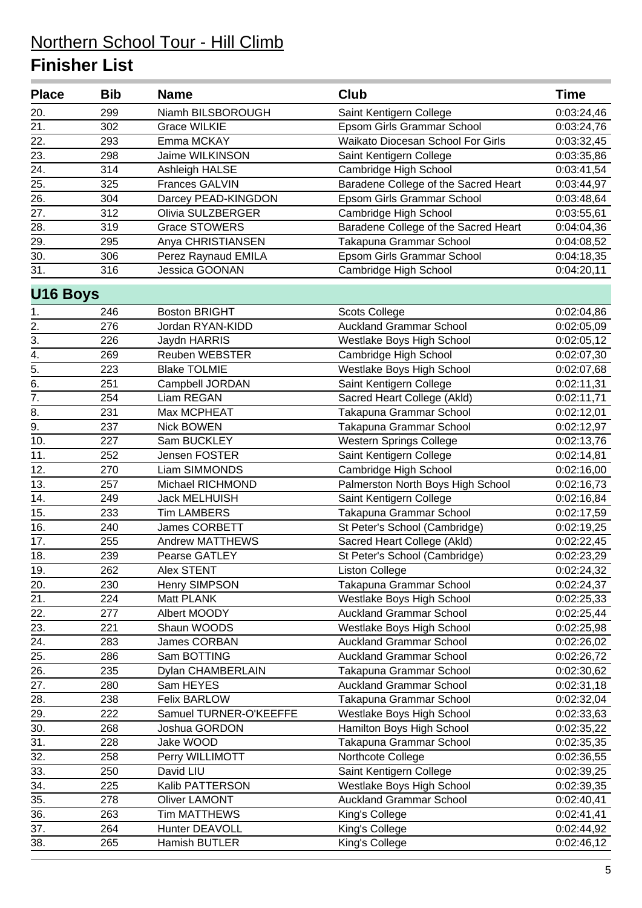| <b>Place</b>     | <b>Bib</b> | <b>Name</b>            | <b>Club</b>                          | <b>Time</b> |
|------------------|------------|------------------------|--------------------------------------|-------------|
| 20.              | 299        | Niamh BILSBOROUGH      | Saint Kentigern College              | 0:03:24,46  |
| 21.              | 302        | <b>Grace WILKIE</b>    | Epsom Girls Grammar School           | 0:03:24,76  |
| 22.              | 293        | Emma MCKAY             | Waikato Diocesan School For Girls    | 0:03:32,45  |
| $\overline{23.}$ | 298        | Jaime WILKINSON        | Saint Kentigern College              | 0:03:35,86  |
| 24.              | 314        | Ashleigh HALSE         | Cambridge High School                | 0:03:41,54  |
| 25.              | 325        | <b>Frances GALVIN</b>  | Baradene College of the Sacred Heart | 0:03:44,97  |
| 26.              | 304        | Darcey PEAD-KINGDON    | Epsom Girls Grammar School           | 0:03:48,64  |
| 27.              | 312        | Olivia SULZBERGER      | Cambridge High School                | 0:03:55,61  |
| 28.              | 319        | <b>Grace STOWERS</b>   | Baradene College of the Sacred Heart | 0:04:04,36  |
| 29.              | 295        | Anya CHRISTIANSEN      | Takapuna Grammar School              | 0:04:08,52  |
| 30.              | 306        | Perez Raynaud EMILA    | Epsom Girls Grammar School           | 0:04:18,35  |
| 31.              | 316        | Jessica GOONAN         | Cambridge High School                | 0:04:20,11  |
| U16 Boys         |            |                        |                                      |             |
| 1.               | 246        | <b>Boston BRIGHT</b>   | Scots College                        | 0:02:04,86  |
| 2.               | 276        | Jordan RYAN-KIDD       | <b>Auckland Grammar School</b>       | 0:02:05,09  |
| $\overline{3}$ . | 226        | Jaydn HARRIS           | Westlake Boys High School            | 0:02:05,12  |
| 4.               | 269        | <b>Reuben WEBSTER</b>  | Cambridge High School                | 0:02:07,30  |
| $\overline{5}$ . | 223        | <b>Blake TOLMIE</b>    | Westlake Boys High School            | 0:02:07,68  |
| $\overline{6}$   | 251        | Campbell JORDAN        | Saint Kentigern College              | 0:02:11,31  |
| $\overline{7}$ . | 254        | Liam REGAN             | Sacred Heart College (Akld)          | 0:02:11,71  |
| 8.               | 231        | Max MCPHEAT            | Takapuna Grammar School              | 0:02:12,01  |
| 9.               | 237        | <b>Nick BOWEN</b>      | Takapuna Grammar School              | 0:02:12,97  |
| 10.              | 227        | Sam BUCKLEY            | <b>Western Springs College</b>       | 0:02:13,76  |
| 11.              | 252        | Jensen FOSTER          | Saint Kentigern College              | 0:02:14,81  |
| 12.              | 270        | Liam SIMMONDS          | Cambridge High School                | 0:02:16,00  |
| 13.              | 257        | Michael RICHMOND       | Palmerston North Boys High School    | 0:02:16,73  |
| 14.              | 249        | Jack MELHUISH          | Saint Kentigern College              | 0:02:16,84  |
| 15.              | 233        | <b>Tim LAMBERS</b>     | Takapuna Grammar School              | 0:02:17,59  |
| 16.              | 240        | <b>James CORBETT</b>   | St Peter's School (Cambridge)        | 0:02:19,25  |
| 17.              | 255        | Andrew MATTHEWS        | Sacred Heart College (Akld)          | 0:02:22,45  |
| 18.              | 239        | Pearse GATLEY          | St Peter's School (Cambridge)        | 0:02:23,29  |
| 19.              | 262        | Alex STENT             | Liston College                       | 0:02:24,32  |
| 20.              | 230        | Henry SIMPSON          | Takapuna Grammar School              | 0:02:24,37  |
| 21.              | 224        | Matt PLANK             | Westlake Boys High School            | 0:02:25,33  |
| 22.              | 277        | Albert MOODY           | <b>Auckland Grammar School</b>       | 0:02:25,44  |
| 23.              | 221        | Shaun WOODS            | Westlake Boys High School            | 0:02:25,98  |
| 24.              | 283        | James CORBAN           | <b>Auckland Grammar School</b>       | 0:02:26,02  |
| 25.              | 286        | Sam BOTTING            | <b>Auckland Grammar School</b>       | 0:02:26,72  |
| 26.              | 235        | Dylan CHAMBERLAIN      | Takapuna Grammar School              | 0:02:30,62  |
| 27.              | 280        | Sam HEYES              | <b>Auckland Grammar School</b>       | 0:02:31,18  |
| 28.              | 238        | <b>Felix BARLOW</b>    | Takapuna Grammar School              | 0:02:32,04  |
| 29.              | 222        | Samuel TURNER-O'KEEFFE | Westlake Boys High School            | 0:02:33,63  |
| 30.              | 268        | Joshua GORDON          | Hamilton Boys High School            | 0:02:35,22  |
| 31.              | 228        | Jake WOOD              | Takapuna Grammar School              | 0:02:35,35  |
| 32.              | 258        | Perry WILLIMOTT        | Northcote College                    | 0:02:36,55  |
| 33.              | 250        | David LIU              | Saint Kentigern College              | 0:02:39,25  |
| 34.              | 225        | Kalib PATTERSON        | Westlake Boys High School            | 0:02:39,35  |
| 35.              | 278        | <b>Oliver LAMONT</b>   | <b>Auckland Grammar School</b>       | 0:02:40,41  |
| 36.              | 263        | Tim MATTHEWS           | King's College                       | 0:02:41,41  |
| 37.              | 264        | Hunter DEAVOLL         | King's College                       | 0:02:44,92  |
| 38.              | 265        | Hamish BUTLER          | King's College                       | 0:02:46,12  |
|                  |            |                        |                                      |             |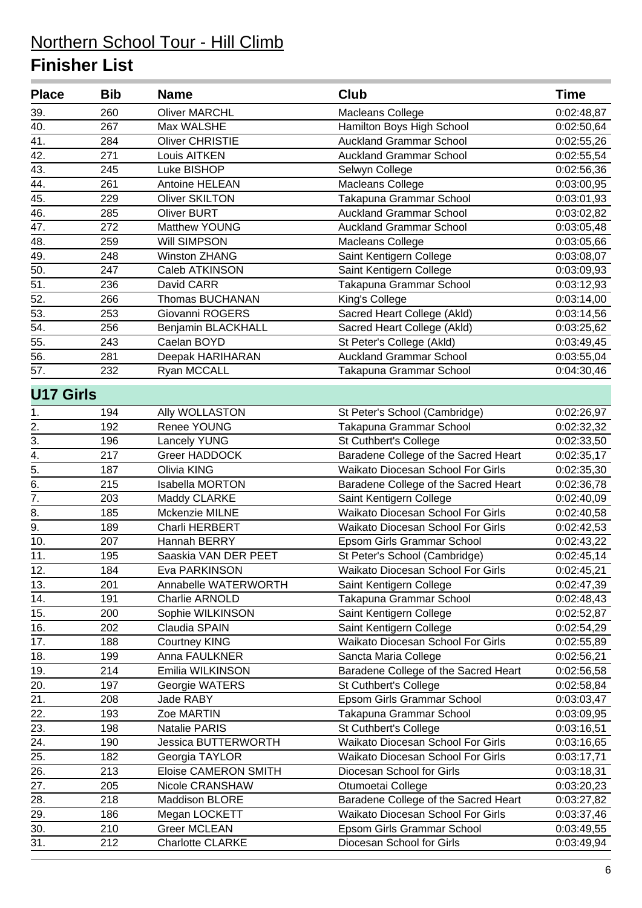| 39.<br>260<br><b>Oliver MARCHL</b><br><b>Macleans College</b><br>0:02:48,87<br>40.<br>267<br>Max WALSHE<br>Hamilton Boys High School<br>0:02:50,64<br>41.<br>284<br><b>Oliver CHRISTIE</b><br><b>Auckland Grammar School</b><br>0:02:55,26<br>42.<br>271<br><b>Auckland Grammar School</b><br>Louis AITKEN<br>0:02:55,54<br>43.<br>245<br>Luke BISHOP<br>Selwyn College<br>0:02:56,36<br>44.<br>261<br>Macleans College<br>Antoine HELEAN<br>0:03:00,95<br>Takapuna Grammar School<br>45.<br>229<br><b>Oliver SKILTON</b><br>0:03:01,93<br>46.<br>285<br><b>Oliver BURT</b><br><b>Auckland Grammar School</b><br>0:03:02,82<br>47.<br>272<br>Matthew YOUNG<br><b>Auckland Grammar School</b><br>0:03:05,48<br>48.<br>259<br>Will SIMPSON<br>0:03:05,66<br>Macleans College<br>49.<br>248<br><b>Winston ZHANG</b><br>Saint Kentigern College<br>0:03:08,07<br>50.<br>Saint Kentigern College<br>247<br>Caleb ATKINSON<br>0:03:09,93<br>51.<br>236<br>David CARR<br>Takapuna Grammar School<br>0:03:12,93<br>52.<br>266<br>Thomas BUCHANAN<br>King's College<br>0:03:14,00<br>53.<br>253<br>Sacred Heart College (Akld)<br>Giovanni ROGERS<br>0:03:14,56<br>54.<br>256<br>Sacred Heart College (Akld)<br>Benjamin BLACKHALL<br>0:03:25,62<br>55.<br>243<br>Caelan BOYD<br>St Peter's College (Akld)<br>0:03:49,45<br>56.<br>281<br><b>Auckland Grammar School</b><br>Deepak HARIHARAN<br>0:03:55,04<br>57.<br>232<br>Ryan MCCALL<br>0:04:30,46<br>Takapuna Grammar School<br><b>U17 Girls</b><br>194<br>Ally WOLLASTON<br>St Peter's School (Cambridge)<br>0:02:26,97<br>1.<br>2.<br>192<br>Renee YOUNG<br>Takapuna Grammar School<br>0:02:32,32<br>$\overline{3}$ .<br>St Cuthbert's College<br>196<br><b>Lancely YUNG</b><br>0:02:33,50<br>$\overline{4}$ .<br>217<br>Baradene College of the Sacred Heart<br>Greer HADDOCK<br>0:02:35,17<br>$\overline{5}$ .<br>187<br>Waikato Diocesan School For Girls<br>Olivia KING<br>0:02:35,30<br>6.<br>215<br>Isabella MORTON<br>Baradene College of the Sacred Heart<br>0:02:36,78<br>$\overline{7}$ .<br>203<br>Saint Kentigern College<br>Maddy CLARKE<br>0:02:40,09<br>8.<br>185<br>Waikato Diocesan School For Girls<br>Mckenzie MILNE<br>0:02:40,58<br>$\overline{9}$ .<br>189<br>Charli HERBERT<br>Waikato Diocesan School For Girls<br>0:02:42,53<br>10.<br>207<br>Hannah BERRY<br>Epsom Girls Grammar School<br>0:02:43,22<br>$\overline{11}$<br>195<br>Saaskia VAN DER PEET<br>0:02:45,14<br>St Peter's School (Cambridge)<br>12.<br>184<br>Waikato Diocesan School For Girls<br>Eva PARKINSON<br>0:02:45,21<br>13.<br>201<br>Annabelle WATERWORTH<br>Saint Kentigern College<br>0:02:47,39<br>Charlie ARNOLD<br>Takapuna Grammar School<br>14.<br>191<br>0:02:48,43<br>15.<br>200<br>Saint Kentigern College<br>Sophie WILKINSON<br>0:02:52,87<br>16.<br>202<br>Claudia SPAIN<br>Saint Kentigern College<br>0:02:54,29<br>17.<br>Waikato Diocesan School For Girls<br>188<br><b>Courtney KING</b><br>0:02:55,89<br>18.<br>199<br>Anna FAULKNER<br>Sancta Maria College<br>0:02:56,21<br>Baradene College of the Sacred Heart<br>19.<br>214<br>Emilia WILKINSON<br>0:02:56,58<br>20.<br>197<br>St Cuthbert's College<br>Georgie WATERS<br>0:02:58,84<br>21.<br>Epsom Girls Grammar School<br>208<br>Jade RABY<br>0:03:03,47<br>22.<br>193<br>Takapuna Grammar School<br>Zoe MARTIN<br>0:03:09,95<br>23.<br>Natalie PARIS<br>St Cuthbert's College<br>198<br>0:03:16,51<br>Waikato Diocesan School For Girls<br>24.<br><b>Jessica BUTTERWORTH</b><br>190<br>0:03:16,65<br>Waikato Diocesan School For Girls<br>25.<br>182<br>Georgia TAYLOR<br>0:03:17,71<br>26.<br>213<br>Eloise CAMERON SMITH<br>Diocesan School for Girls<br>0:03:18,31<br>27.<br>205<br>Nicole CRANSHAW<br>Otumoetai College<br>0:03:20,23<br>28.<br>Baradene College of the Sacred Heart<br>218<br><b>Maddison BLORE</b><br>0:03:27,82<br>29.<br>Waikato Diocesan School For Girls<br>186<br>Megan LOCKETT<br>0:03:37,46<br>30.<br>210<br><b>Greer MCLEAN</b><br>Epsom Girls Grammar School<br>0:03:49,55<br>31.<br>212<br><b>Charlotte CLARKE</b><br>Diocesan School for Girls<br>0:03:49,94 | <b>Place</b> | <b>Bib</b> | <b>Name</b> | <b>Club</b> | <b>Time</b> |
|----------------------------------------------------------------------------------------------------------------------------------------------------------------------------------------------------------------------------------------------------------------------------------------------------------------------------------------------------------------------------------------------------------------------------------------------------------------------------------------------------------------------------------------------------------------------------------------------------------------------------------------------------------------------------------------------------------------------------------------------------------------------------------------------------------------------------------------------------------------------------------------------------------------------------------------------------------------------------------------------------------------------------------------------------------------------------------------------------------------------------------------------------------------------------------------------------------------------------------------------------------------------------------------------------------------------------------------------------------------------------------------------------------------------------------------------------------------------------------------------------------------------------------------------------------------------------------------------------------------------------------------------------------------------------------------------------------------------------------------------------------------------------------------------------------------------------------------------------------------------------------------------------------------------------------------------------------------------------------------------------------------------------------------------------------------------------------------------------------------------------------------------------------------------------------------------------------------------------------------------------------------------------------------------------------------------------------------------------------------------------------------------------------------------------------------------------------------------------------------------------------------------------------------------------------------------------------------------------------------------------------------------------------------------------------------------------------------------------------------------------------------------------------------------------------------------------------------------------------------------------------------------------------------------------------------------------------------------------------------------------------------------------------------------------------------------------------------------------------------------------------------------------------------------------------------------------------------------------------------------------------------------------------------------------------------------------------------------------------------------------------------------------------------------------------------------------------------------------------------------------------------------------------------------------------------------------------------------------------------------------------------------------------------------------------------------------------------------------------------------------------------------------------------------------------------------------------------------------------------------------------------------------------------------------------------------------------------------------------------------------------------------------------------------------------------------------------------------------------------------|--------------|------------|-------------|-------------|-------------|
|                                                                                                                                                                                                                                                                                                                                                                                                                                                                                                                                                                                                                                                                                                                                                                                                                                                                                                                                                                                                                                                                                                                                                                                                                                                                                                                                                                                                                                                                                                                                                                                                                                                                                                                                                                                                                                                                                                                                                                                                                                                                                                                                                                                                                                                                                                                                                                                                                                                                                                                                                                                                                                                                                                                                                                                                                                                                                                                                                                                                                                                                                                                                                                                                                                                                                                                                                                                                                                                                                                                                                                                                                                                                                                                                                                                                                                                                                                                                                                                                                                                                                                                      |              |            |             |             |             |
|                                                                                                                                                                                                                                                                                                                                                                                                                                                                                                                                                                                                                                                                                                                                                                                                                                                                                                                                                                                                                                                                                                                                                                                                                                                                                                                                                                                                                                                                                                                                                                                                                                                                                                                                                                                                                                                                                                                                                                                                                                                                                                                                                                                                                                                                                                                                                                                                                                                                                                                                                                                                                                                                                                                                                                                                                                                                                                                                                                                                                                                                                                                                                                                                                                                                                                                                                                                                                                                                                                                                                                                                                                                                                                                                                                                                                                                                                                                                                                                                                                                                                                                      |              |            |             |             |             |
|                                                                                                                                                                                                                                                                                                                                                                                                                                                                                                                                                                                                                                                                                                                                                                                                                                                                                                                                                                                                                                                                                                                                                                                                                                                                                                                                                                                                                                                                                                                                                                                                                                                                                                                                                                                                                                                                                                                                                                                                                                                                                                                                                                                                                                                                                                                                                                                                                                                                                                                                                                                                                                                                                                                                                                                                                                                                                                                                                                                                                                                                                                                                                                                                                                                                                                                                                                                                                                                                                                                                                                                                                                                                                                                                                                                                                                                                                                                                                                                                                                                                                                                      |              |            |             |             |             |
|                                                                                                                                                                                                                                                                                                                                                                                                                                                                                                                                                                                                                                                                                                                                                                                                                                                                                                                                                                                                                                                                                                                                                                                                                                                                                                                                                                                                                                                                                                                                                                                                                                                                                                                                                                                                                                                                                                                                                                                                                                                                                                                                                                                                                                                                                                                                                                                                                                                                                                                                                                                                                                                                                                                                                                                                                                                                                                                                                                                                                                                                                                                                                                                                                                                                                                                                                                                                                                                                                                                                                                                                                                                                                                                                                                                                                                                                                                                                                                                                                                                                                                                      |              |            |             |             |             |
|                                                                                                                                                                                                                                                                                                                                                                                                                                                                                                                                                                                                                                                                                                                                                                                                                                                                                                                                                                                                                                                                                                                                                                                                                                                                                                                                                                                                                                                                                                                                                                                                                                                                                                                                                                                                                                                                                                                                                                                                                                                                                                                                                                                                                                                                                                                                                                                                                                                                                                                                                                                                                                                                                                                                                                                                                                                                                                                                                                                                                                                                                                                                                                                                                                                                                                                                                                                                                                                                                                                                                                                                                                                                                                                                                                                                                                                                                                                                                                                                                                                                                                                      |              |            |             |             |             |
|                                                                                                                                                                                                                                                                                                                                                                                                                                                                                                                                                                                                                                                                                                                                                                                                                                                                                                                                                                                                                                                                                                                                                                                                                                                                                                                                                                                                                                                                                                                                                                                                                                                                                                                                                                                                                                                                                                                                                                                                                                                                                                                                                                                                                                                                                                                                                                                                                                                                                                                                                                                                                                                                                                                                                                                                                                                                                                                                                                                                                                                                                                                                                                                                                                                                                                                                                                                                                                                                                                                                                                                                                                                                                                                                                                                                                                                                                                                                                                                                                                                                                                                      |              |            |             |             |             |
|                                                                                                                                                                                                                                                                                                                                                                                                                                                                                                                                                                                                                                                                                                                                                                                                                                                                                                                                                                                                                                                                                                                                                                                                                                                                                                                                                                                                                                                                                                                                                                                                                                                                                                                                                                                                                                                                                                                                                                                                                                                                                                                                                                                                                                                                                                                                                                                                                                                                                                                                                                                                                                                                                                                                                                                                                                                                                                                                                                                                                                                                                                                                                                                                                                                                                                                                                                                                                                                                                                                                                                                                                                                                                                                                                                                                                                                                                                                                                                                                                                                                                                                      |              |            |             |             |             |
|                                                                                                                                                                                                                                                                                                                                                                                                                                                                                                                                                                                                                                                                                                                                                                                                                                                                                                                                                                                                                                                                                                                                                                                                                                                                                                                                                                                                                                                                                                                                                                                                                                                                                                                                                                                                                                                                                                                                                                                                                                                                                                                                                                                                                                                                                                                                                                                                                                                                                                                                                                                                                                                                                                                                                                                                                                                                                                                                                                                                                                                                                                                                                                                                                                                                                                                                                                                                                                                                                                                                                                                                                                                                                                                                                                                                                                                                                                                                                                                                                                                                                                                      |              |            |             |             |             |
|                                                                                                                                                                                                                                                                                                                                                                                                                                                                                                                                                                                                                                                                                                                                                                                                                                                                                                                                                                                                                                                                                                                                                                                                                                                                                                                                                                                                                                                                                                                                                                                                                                                                                                                                                                                                                                                                                                                                                                                                                                                                                                                                                                                                                                                                                                                                                                                                                                                                                                                                                                                                                                                                                                                                                                                                                                                                                                                                                                                                                                                                                                                                                                                                                                                                                                                                                                                                                                                                                                                                                                                                                                                                                                                                                                                                                                                                                                                                                                                                                                                                                                                      |              |            |             |             |             |
|                                                                                                                                                                                                                                                                                                                                                                                                                                                                                                                                                                                                                                                                                                                                                                                                                                                                                                                                                                                                                                                                                                                                                                                                                                                                                                                                                                                                                                                                                                                                                                                                                                                                                                                                                                                                                                                                                                                                                                                                                                                                                                                                                                                                                                                                                                                                                                                                                                                                                                                                                                                                                                                                                                                                                                                                                                                                                                                                                                                                                                                                                                                                                                                                                                                                                                                                                                                                                                                                                                                                                                                                                                                                                                                                                                                                                                                                                                                                                                                                                                                                                                                      |              |            |             |             |             |
|                                                                                                                                                                                                                                                                                                                                                                                                                                                                                                                                                                                                                                                                                                                                                                                                                                                                                                                                                                                                                                                                                                                                                                                                                                                                                                                                                                                                                                                                                                                                                                                                                                                                                                                                                                                                                                                                                                                                                                                                                                                                                                                                                                                                                                                                                                                                                                                                                                                                                                                                                                                                                                                                                                                                                                                                                                                                                                                                                                                                                                                                                                                                                                                                                                                                                                                                                                                                                                                                                                                                                                                                                                                                                                                                                                                                                                                                                                                                                                                                                                                                                                                      |              |            |             |             |             |
|                                                                                                                                                                                                                                                                                                                                                                                                                                                                                                                                                                                                                                                                                                                                                                                                                                                                                                                                                                                                                                                                                                                                                                                                                                                                                                                                                                                                                                                                                                                                                                                                                                                                                                                                                                                                                                                                                                                                                                                                                                                                                                                                                                                                                                                                                                                                                                                                                                                                                                                                                                                                                                                                                                                                                                                                                                                                                                                                                                                                                                                                                                                                                                                                                                                                                                                                                                                                                                                                                                                                                                                                                                                                                                                                                                                                                                                                                                                                                                                                                                                                                                                      |              |            |             |             |             |
|                                                                                                                                                                                                                                                                                                                                                                                                                                                                                                                                                                                                                                                                                                                                                                                                                                                                                                                                                                                                                                                                                                                                                                                                                                                                                                                                                                                                                                                                                                                                                                                                                                                                                                                                                                                                                                                                                                                                                                                                                                                                                                                                                                                                                                                                                                                                                                                                                                                                                                                                                                                                                                                                                                                                                                                                                                                                                                                                                                                                                                                                                                                                                                                                                                                                                                                                                                                                                                                                                                                                                                                                                                                                                                                                                                                                                                                                                                                                                                                                                                                                                                                      |              |            |             |             |             |
|                                                                                                                                                                                                                                                                                                                                                                                                                                                                                                                                                                                                                                                                                                                                                                                                                                                                                                                                                                                                                                                                                                                                                                                                                                                                                                                                                                                                                                                                                                                                                                                                                                                                                                                                                                                                                                                                                                                                                                                                                                                                                                                                                                                                                                                                                                                                                                                                                                                                                                                                                                                                                                                                                                                                                                                                                                                                                                                                                                                                                                                                                                                                                                                                                                                                                                                                                                                                                                                                                                                                                                                                                                                                                                                                                                                                                                                                                                                                                                                                                                                                                                                      |              |            |             |             |             |
|                                                                                                                                                                                                                                                                                                                                                                                                                                                                                                                                                                                                                                                                                                                                                                                                                                                                                                                                                                                                                                                                                                                                                                                                                                                                                                                                                                                                                                                                                                                                                                                                                                                                                                                                                                                                                                                                                                                                                                                                                                                                                                                                                                                                                                                                                                                                                                                                                                                                                                                                                                                                                                                                                                                                                                                                                                                                                                                                                                                                                                                                                                                                                                                                                                                                                                                                                                                                                                                                                                                                                                                                                                                                                                                                                                                                                                                                                                                                                                                                                                                                                                                      |              |            |             |             |             |
|                                                                                                                                                                                                                                                                                                                                                                                                                                                                                                                                                                                                                                                                                                                                                                                                                                                                                                                                                                                                                                                                                                                                                                                                                                                                                                                                                                                                                                                                                                                                                                                                                                                                                                                                                                                                                                                                                                                                                                                                                                                                                                                                                                                                                                                                                                                                                                                                                                                                                                                                                                                                                                                                                                                                                                                                                                                                                                                                                                                                                                                                                                                                                                                                                                                                                                                                                                                                                                                                                                                                                                                                                                                                                                                                                                                                                                                                                                                                                                                                                                                                                                                      |              |            |             |             |             |
|                                                                                                                                                                                                                                                                                                                                                                                                                                                                                                                                                                                                                                                                                                                                                                                                                                                                                                                                                                                                                                                                                                                                                                                                                                                                                                                                                                                                                                                                                                                                                                                                                                                                                                                                                                                                                                                                                                                                                                                                                                                                                                                                                                                                                                                                                                                                                                                                                                                                                                                                                                                                                                                                                                                                                                                                                                                                                                                                                                                                                                                                                                                                                                                                                                                                                                                                                                                                                                                                                                                                                                                                                                                                                                                                                                                                                                                                                                                                                                                                                                                                                                                      |              |            |             |             |             |
|                                                                                                                                                                                                                                                                                                                                                                                                                                                                                                                                                                                                                                                                                                                                                                                                                                                                                                                                                                                                                                                                                                                                                                                                                                                                                                                                                                                                                                                                                                                                                                                                                                                                                                                                                                                                                                                                                                                                                                                                                                                                                                                                                                                                                                                                                                                                                                                                                                                                                                                                                                                                                                                                                                                                                                                                                                                                                                                                                                                                                                                                                                                                                                                                                                                                                                                                                                                                                                                                                                                                                                                                                                                                                                                                                                                                                                                                                                                                                                                                                                                                                                                      |              |            |             |             |             |
|                                                                                                                                                                                                                                                                                                                                                                                                                                                                                                                                                                                                                                                                                                                                                                                                                                                                                                                                                                                                                                                                                                                                                                                                                                                                                                                                                                                                                                                                                                                                                                                                                                                                                                                                                                                                                                                                                                                                                                                                                                                                                                                                                                                                                                                                                                                                                                                                                                                                                                                                                                                                                                                                                                                                                                                                                                                                                                                                                                                                                                                                                                                                                                                                                                                                                                                                                                                                                                                                                                                                                                                                                                                                                                                                                                                                                                                                                                                                                                                                                                                                                                                      |              |            |             |             |             |
|                                                                                                                                                                                                                                                                                                                                                                                                                                                                                                                                                                                                                                                                                                                                                                                                                                                                                                                                                                                                                                                                                                                                                                                                                                                                                                                                                                                                                                                                                                                                                                                                                                                                                                                                                                                                                                                                                                                                                                                                                                                                                                                                                                                                                                                                                                                                                                                                                                                                                                                                                                                                                                                                                                                                                                                                                                                                                                                                                                                                                                                                                                                                                                                                                                                                                                                                                                                                                                                                                                                                                                                                                                                                                                                                                                                                                                                                                                                                                                                                                                                                                                                      |              |            |             |             |             |
|                                                                                                                                                                                                                                                                                                                                                                                                                                                                                                                                                                                                                                                                                                                                                                                                                                                                                                                                                                                                                                                                                                                                                                                                                                                                                                                                                                                                                                                                                                                                                                                                                                                                                                                                                                                                                                                                                                                                                                                                                                                                                                                                                                                                                                                                                                                                                                                                                                                                                                                                                                                                                                                                                                                                                                                                                                                                                                                                                                                                                                                                                                                                                                                                                                                                                                                                                                                                                                                                                                                                                                                                                                                                                                                                                                                                                                                                                                                                                                                                                                                                                                                      |              |            |             |             |             |
|                                                                                                                                                                                                                                                                                                                                                                                                                                                                                                                                                                                                                                                                                                                                                                                                                                                                                                                                                                                                                                                                                                                                                                                                                                                                                                                                                                                                                                                                                                                                                                                                                                                                                                                                                                                                                                                                                                                                                                                                                                                                                                                                                                                                                                                                                                                                                                                                                                                                                                                                                                                                                                                                                                                                                                                                                                                                                                                                                                                                                                                                                                                                                                                                                                                                                                                                                                                                                                                                                                                                                                                                                                                                                                                                                                                                                                                                                                                                                                                                                                                                                                                      |              |            |             |             |             |
|                                                                                                                                                                                                                                                                                                                                                                                                                                                                                                                                                                                                                                                                                                                                                                                                                                                                                                                                                                                                                                                                                                                                                                                                                                                                                                                                                                                                                                                                                                                                                                                                                                                                                                                                                                                                                                                                                                                                                                                                                                                                                                                                                                                                                                                                                                                                                                                                                                                                                                                                                                                                                                                                                                                                                                                                                                                                                                                                                                                                                                                                                                                                                                                                                                                                                                                                                                                                                                                                                                                                                                                                                                                                                                                                                                                                                                                                                                                                                                                                                                                                                                                      |              |            |             |             |             |
|                                                                                                                                                                                                                                                                                                                                                                                                                                                                                                                                                                                                                                                                                                                                                                                                                                                                                                                                                                                                                                                                                                                                                                                                                                                                                                                                                                                                                                                                                                                                                                                                                                                                                                                                                                                                                                                                                                                                                                                                                                                                                                                                                                                                                                                                                                                                                                                                                                                                                                                                                                                                                                                                                                                                                                                                                                                                                                                                                                                                                                                                                                                                                                                                                                                                                                                                                                                                                                                                                                                                                                                                                                                                                                                                                                                                                                                                                                                                                                                                                                                                                                                      |              |            |             |             |             |
|                                                                                                                                                                                                                                                                                                                                                                                                                                                                                                                                                                                                                                                                                                                                                                                                                                                                                                                                                                                                                                                                                                                                                                                                                                                                                                                                                                                                                                                                                                                                                                                                                                                                                                                                                                                                                                                                                                                                                                                                                                                                                                                                                                                                                                                                                                                                                                                                                                                                                                                                                                                                                                                                                                                                                                                                                                                                                                                                                                                                                                                                                                                                                                                                                                                                                                                                                                                                                                                                                                                                                                                                                                                                                                                                                                                                                                                                                                                                                                                                                                                                                                                      |              |            |             |             |             |
|                                                                                                                                                                                                                                                                                                                                                                                                                                                                                                                                                                                                                                                                                                                                                                                                                                                                                                                                                                                                                                                                                                                                                                                                                                                                                                                                                                                                                                                                                                                                                                                                                                                                                                                                                                                                                                                                                                                                                                                                                                                                                                                                                                                                                                                                                                                                                                                                                                                                                                                                                                                                                                                                                                                                                                                                                                                                                                                                                                                                                                                                                                                                                                                                                                                                                                                                                                                                                                                                                                                                                                                                                                                                                                                                                                                                                                                                                                                                                                                                                                                                                                                      |              |            |             |             |             |
|                                                                                                                                                                                                                                                                                                                                                                                                                                                                                                                                                                                                                                                                                                                                                                                                                                                                                                                                                                                                                                                                                                                                                                                                                                                                                                                                                                                                                                                                                                                                                                                                                                                                                                                                                                                                                                                                                                                                                                                                                                                                                                                                                                                                                                                                                                                                                                                                                                                                                                                                                                                                                                                                                                                                                                                                                                                                                                                                                                                                                                                                                                                                                                                                                                                                                                                                                                                                                                                                                                                                                                                                                                                                                                                                                                                                                                                                                                                                                                                                                                                                                                                      |              |            |             |             |             |
|                                                                                                                                                                                                                                                                                                                                                                                                                                                                                                                                                                                                                                                                                                                                                                                                                                                                                                                                                                                                                                                                                                                                                                                                                                                                                                                                                                                                                                                                                                                                                                                                                                                                                                                                                                                                                                                                                                                                                                                                                                                                                                                                                                                                                                                                                                                                                                                                                                                                                                                                                                                                                                                                                                                                                                                                                                                                                                                                                                                                                                                                                                                                                                                                                                                                                                                                                                                                                                                                                                                                                                                                                                                                                                                                                                                                                                                                                                                                                                                                                                                                                                                      |              |            |             |             |             |
|                                                                                                                                                                                                                                                                                                                                                                                                                                                                                                                                                                                                                                                                                                                                                                                                                                                                                                                                                                                                                                                                                                                                                                                                                                                                                                                                                                                                                                                                                                                                                                                                                                                                                                                                                                                                                                                                                                                                                                                                                                                                                                                                                                                                                                                                                                                                                                                                                                                                                                                                                                                                                                                                                                                                                                                                                                                                                                                                                                                                                                                                                                                                                                                                                                                                                                                                                                                                                                                                                                                                                                                                                                                                                                                                                                                                                                                                                                                                                                                                                                                                                                                      |              |            |             |             |             |
|                                                                                                                                                                                                                                                                                                                                                                                                                                                                                                                                                                                                                                                                                                                                                                                                                                                                                                                                                                                                                                                                                                                                                                                                                                                                                                                                                                                                                                                                                                                                                                                                                                                                                                                                                                                                                                                                                                                                                                                                                                                                                                                                                                                                                                                                                                                                                                                                                                                                                                                                                                                                                                                                                                                                                                                                                                                                                                                                                                                                                                                                                                                                                                                                                                                                                                                                                                                                                                                                                                                                                                                                                                                                                                                                                                                                                                                                                                                                                                                                                                                                                                                      |              |            |             |             |             |
|                                                                                                                                                                                                                                                                                                                                                                                                                                                                                                                                                                                                                                                                                                                                                                                                                                                                                                                                                                                                                                                                                                                                                                                                                                                                                                                                                                                                                                                                                                                                                                                                                                                                                                                                                                                                                                                                                                                                                                                                                                                                                                                                                                                                                                                                                                                                                                                                                                                                                                                                                                                                                                                                                                                                                                                                                                                                                                                                                                                                                                                                                                                                                                                                                                                                                                                                                                                                                                                                                                                                                                                                                                                                                                                                                                                                                                                                                                                                                                                                                                                                                                                      |              |            |             |             |             |
|                                                                                                                                                                                                                                                                                                                                                                                                                                                                                                                                                                                                                                                                                                                                                                                                                                                                                                                                                                                                                                                                                                                                                                                                                                                                                                                                                                                                                                                                                                                                                                                                                                                                                                                                                                                                                                                                                                                                                                                                                                                                                                                                                                                                                                                                                                                                                                                                                                                                                                                                                                                                                                                                                                                                                                                                                                                                                                                                                                                                                                                                                                                                                                                                                                                                                                                                                                                                                                                                                                                                                                                                                                                                                                                                                                                                                                                                                                                                                                                                                                                                                                                      |              |            |             |             |             |
|                                                                                                                                                                                                                                                                                                                                                                                                                                                                                                                                                                                                                                                                                                                                                                                                                                                                                                                                                                                                                                                                                                                                                                                                                                                                                                                                                                                                                                                                                                                                                                                                                                                                                                                                                                                                                                                                                                                                                                                                                                                                                                                                                                                                                                                                                                                                                                                                                                                                                                                                                                                                                                                                                                                                                                                                                                                                                                                                                                                                                                                                                                                                                                                                                                                                                                                                                                                                                                                                                                                                                                                                                                                                                                                                                                                                                                                                                                                                                                                                                                                                                                                      |              |            |             |             |             |
|                                                                                                                                                                                                                                                                                                                                                                                                                                                                                                                                                                                                                                                                                                                                                                                                                                                                                                                                                                                                                                                                                                                                                                                                                                                                                                                                                                                                                                                                                                                                                                                                                                                                                                                                                                                                                                                                                                                                                                                                                                                                                                                                                                                                                                                                                                                                                                                                                                                                                                                                                                                                                                                                                                                                                                                                                                                                                                                                                                                                                                                                                                                                                                                                                                                                                                                                                                                                                                                                                                                                                                                                                                                                                                                                                                                                                                                                                                                                                                                                                                                                                                                      |              |            |             |             |             |
|                                                                                                                                                                                                                                                                                                                                                                                                                                                                                                                                                                                                                                                                                                                                                                                                                                                                                                                                                                                                                                                                                                                                                                                                                                                                                                                                                                                                                                                                                                                                                                                                                                                                                                                                                                                                                                                                                                                                                                                                                                                                                                                                                                                                                                                                                                                                                                                                                                                                                                                                                                                                                                                                                                                                                                                                                                                                                                                                                                                                                                                                                                                                                                                                                                                                                                                                                                                                                                                                                                                                                                                                                                                                                                                                                                                                                                                                                                                                                                                                                                                                                                                      |              |            |             |             |             |
|                                                                                                                                                                                                                                                                                                                                                                                                                                                                                                                                                                                                                                                                                                                                                                                                                                                                                                                                                                                                                                                                                                                                                                                                                                                                                                                                                                                                                                                                                                                                                                                                                                                                                                                                                                                                                                                                                                                                                                                                                                                                                                                                                                                                                                                                                                                                                                                                                                                                                                                                                                                                                                                                                                                                                                                                                                                                                                                                                                                                                                                                                                                                                                                                                                                                                                                                                                                                                                                                                                                                                                                                                                                                                                                                                                                                                                                                                                                                                                                                                                                                                                                      |              |            |             |             |             |
|                                                                                                                                                                                                                                                                                                                                                                                                                                                                                                                                                                                                                                                                                                                                                                                                                                                                                                                                                                                                                                                                                                                                                                                                                                                                                                                                                                                                                                                                                                                                                                                                                                                                                                                                                                                                                                                                                                                                                                                                                                                                                                                                                                                                                                                                                                                                                                                                                                                                                                                                                                                                                                                                                                                                                                                                                                                                                                                                                                                                                                                                                                                                                                                                                                                                                                                                                                                                                                                                                                                                                                                                                                                                                                                                                                                                                                                                                                                                                                                                                                                                                                                      |              |            |             |             |             |
|                                                                                                                                                                                                                                                                                                                                                                                                                                                                                                                                                                                                                                                                                                                                                                                                                                                                                                                                                                                                                                                                                                                                                                                                                                                                                                                                                                                                                                                                                                                                                                                                                                                                                                                                                                                                                                                                                                                                                                                                                                                                                                                                                                                                                                                                                                                                                                                                                                                                                                                                                                                                                                                                                                                                                                                                                                                                                                                                                                                                                                                                                                                                                                                                                                                                                                                                                                                                                                                                                                                                                                                                                                                                                                                                                                                                                                                                                                                                                                                                                                                                                                                      |              |            |             |             |             |
|                                                                                                                                                                                                                                                                                                                                                                                                                                                                                                                                                                                                                                                                                                                                                                                                                                                                                                                                                                                                                                                                                                                                                                                                                                                                                                                                                                                                                                                                                                                                                                                                                                                                                                                                                                                                                                                                                                                                                                                                                                                                                                                                                                                                                                                                                                                                                                                                                                                                                                                                                                                                                                                                                                                                                                                                                                                                                                                                                                                                                                                                                                                                                                                                                                                                                                                                                                                                                                                                                                                                                                                                                                                                                                                                                                                                                                                                                                                                                                                                                                                                                                                      |              |            |             |             |             |
|                                                                                                                                                                                                                                                                                                                                                                                                                                                                                                                                                                                                                                                                                                                                                                                                                                                                                                                                                                                                                                                                                                                                                                                                                                                                                                                                                                                                                                                                                                                                                                                                                                                                                                                                                                                                                                                                                                                                                                                                                                                                                                                                                                                                                                                                                                                                                                                                                                                                                                                                                                                                                                                                                                                                                                                                                                                                                                                                                                                                                                                                                                                                                                                                                                                                                                                                                                                                                                                                                                                                                                                                                                                                                                                                                                                                                                                                                                                                                                                                                                                                                                                      |              |            |             |             |             |
|                                                                                                                                                                                                                                                                                                                                                                                                                                                                                                                                                                                                                                                                                                                                                                                                                                                                                                                                                                                                                                                                                                                                                                                                                                                                                                                                                                                                                                                                                                                                                                                                                                                                                                                                                                                                                                                                                                                                                                                                                                                                                                                                                                                                                                                                                                                                                                                                                                                                                                                                                                                                                                                                                                                                                                                                                                                                                                                                                                                                                                                                                                                                                                                                                                                                                                                                                                                                                                                                                                                                                                                                                                                                                                                                                                                                                                                                                                                                                                                                                                                                                                                      |              |            |             |             |             |
|                                                                                                                                                                                                                                                                                                                                                                                                                                                                                                                                                                                                                                                                                                                                                                                                                                                                                                                                                                                                                                                                                                                                                                                                                                                                                                                                                                                                                                                                                                                                                                                                                                                                                                                                                                                                                                                                                                                                                                                                                                                                                                                                                                                                                                                                                                                                                                                                                                                                                                                                                                                                                                                                                                                                                                                                                                                                                                                                                                                                                                                                                                                                                                                                                                                                                                                                                                                                                                                                                                                                                                                                                                                                                                                                                                                                                                                                                                                                                                                                                                                                                                                      |              |            |             |             |             |
|                                                                                                                                                                                                                                                                                                                                                                                                                                                                                                                                                                                                                                                                                                                                                                                                                                                                                                                                                                                                                                                                                                                                                                                                                                                                                                                                                                                                                                                                                                                                                                                                                                                                                                                                                                                                                                                                                                                                                                                                                                                                                                                                                                                                                                                                                                                                                                                                                                                                                                                                                                                                                                                                                                                                                                                                                                                                                                                                                                                                                                                                                                                                                                                                                                                                                                                                                                                                                                                                                                                                                                                                                                                                                                                                                                                                                                                                                                                                                                                                                                                                                                                      |              |            |             |             |             |
|                                                                                                                                                                                                                                                                                                                                                                                                                                                                                                                                                                                                                                                                                                                                                                                                                                                                                                                                                                                                                                                                                                                                                                                                                                                                                                                                                                                                                                                                                                                                                                                                                                                                                                                                                                                                                                                                                                                                                                                                                                                                                                                                                                                                                                                                                                                                                                                                                                                                                                                                                                                                                                                                                                                                                                                                                                                                                                                                                                                                                                                                                                                                                                                                                                                                                                                                                                                                                                                                                                                                                                                                                                                                                                                                                                                                                                                                                                                                                                                                                                                                                                                      |              |            |             |             |             |
|                                                                                                                                                                                                                                                                                                                                                                                                                                                                                                                                                                                                                                                                                                                                                                                                                                                                                                                                                                                                                                                                                                                                                                                                                                                                                                                                                                                                                                                                                                                                                                                                                                                                                                                                                                                                                                                                                                                                                                                                                                                                                                                                                                                                                                                                                                                                                                                                                                                                                                                                                                                                                                                                                                                                                                                                                                                                                                                                                                                                                                                                                                                                                                                                                                                                                                                                                                                                                                                                                                                                                                                                                                                                                                                                                                                                                                                                                                                                                                                                                                                                                                                      |              |            |             |             |             |
|                                                                                                                                                                                                                                                                                                                                                                                                                                                                                                                                                                                                                                                                                                                                                                                                                                                                                                                                                                                                                                                                                                                                                                                                                                                                                                                                                                                                                                                                                                                                                                                                                                                                                                                                                                                                                                                                                                                                                                                                                                                                                                                                                                                                                                                                                                                                                                                                                                                                                                                                                                                                                                                                                                                                                                                                                                                                                                                                                                                                                                                                                                                                                                                                                                                                                                                                                                                                                                                                                                                                                                                                                                                                                                                                                                                                                                                                                                                                                                                                                                                                                                                      |              |            |             |             |             |
|                                                                                                                                                                                                                                                                                                                                                                                                                                                                                                                                                                                                                                                                                                                                                                                                                                                                                                                                                                                                                                                                                                                                                                                                                                                                                                                                                                                                                                                                                                                                                                                                                                                                                                                                                                                                                                                                                                                                                                                                                                                                                                                                                                                                                                                                                                                                                                                                                                                                                                                                                                                                                                                                                                                                                                                                                                                                                                                                                                                                                                                                                                                                                                                                                                                                                                                                                                                                                                                                                                                                                                                                                                                                                                                                                                                                                                                                                                                                                                                                                                                                                                                      |              |            |             |             |             |
|                                                                                                                                                                                                                                                                                                                                                                                                                                                                                                                                                                                                                                                                                                                                                                                                                                                                                                                                                                                                                                                                                                                                                                                                                                                                                                                                                                                                                                                                                                                                                                                                                                                                                                                                                                                                                                                                                                                                                                                                                                                                                                                                                                                                                                                                                                                                                                                                                                                                                                                                                                                                                                                                                                                                                                                                                                                                                                                                                                                                                                                                                                                                                                                                                                                                                                                                                                                                                                                                                                                                                                                                                                                                                                                                                                                                                                                                                                                                                                                                                                                                                                                      |              |            |             |             |             |
|                                                                                                                                                                                                                                                                                                                                                                                                                                                                                                                                                                                                                                                                                                                                                                                                                                                                                                                                                                                                                                                                                                                                                                                                                                                                                                                                                                                                                                                                                                                                                                                                                                                                                                                                                                                                                                                                                                                                                                                                                                                                                                                                                                                                                                                                                                                                                                                                                                                                                                                                                                                                                                                                                                                                                                                                                                                                                                                                                                                                                                                                                                                                                                                                                                                                                                                                                                                                                                                                                                                                                                                                                                                                                                                                                                                                                                                                                                                                                                                                                                                                                                                      |              |            |             |             |             |
|                                                                                                                                                                                                                                                                                                                                                                                                                                                                                                                                                                                                                                                                                                                                                                                                                                                                                                                                                                                                                                                                                                                                                                                                                                                                                                                                                                                                                                                                                                                                                                                                                                                                                                                                                                                                                                                                                                                                                                                                                                                                                                                                                                                                                                                                                                                                                                                                                                                                                                                                                                                                                                                                                                                                                                                                                                                                                                                                                                                                                                                                                                                                                                                                                                                                                                                                                                                                                                                                                                                                                                                                                                                                                                                                                                                                                                                                                                                                                                                                                                                                                                                      |              |            |             |             |             |
|                                                                                                                                                                                                                                                                                                                                                                                                                                                                                                                                                                                                                                                                                                                                                                                                                                                                                                                                                                                                                                                                                                                                                                                                                                                                                                                                                                                                                                                                                                                                                                                                                                                                                                                                                                                                                                                                                                                                                                                                                                                                                                                                                                                                                                                                                                                                                                                                                                                                                                                                                                                                                                                                                                                                                                                                                                                                                                                                                                                                                                                                                                                                                                                                                                                                                                                                                                                                                                                                                                                                                                                                                                                                                                                                                                                                                                                                                                                                                                                                                                                                                                                      |              |            |             |             |             |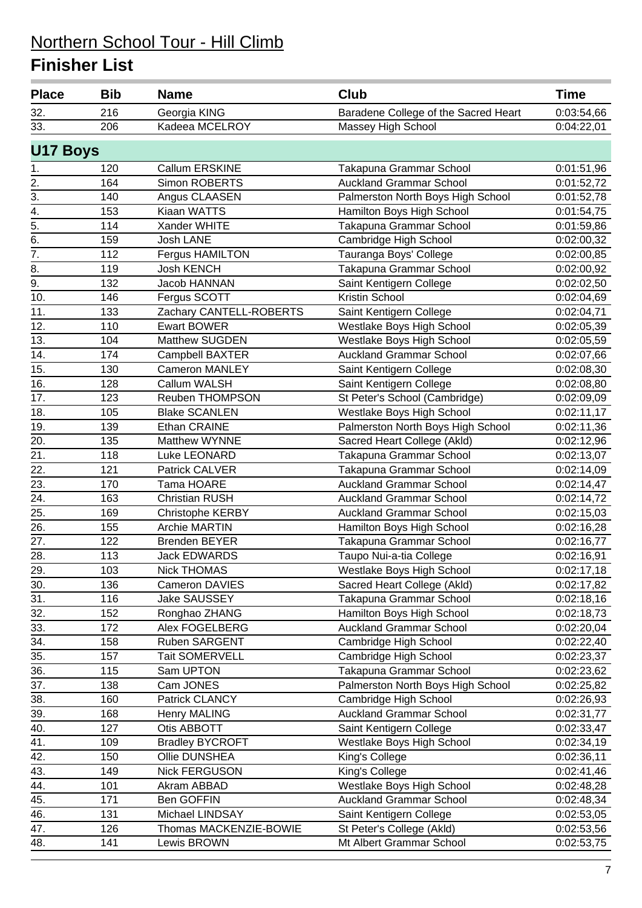| <b>Place</b>      | <b>Bib</b> | <b>Name</b>             | <b>Club</b>                          | <b>Time</b> |
|-------------------|------------|-------------------------|--------------------------------------|-------------|
| 32.               | 216        | Georgia KING            | Baradene College of the Sacred Heart | 0:03:54,66  |
| 33.               | 206        | Kadeea MCELROY          | Massey High School                   | 0:04:22,01  |
| <b>U17 Boys</b>   |            |                         |                                      |             |
| 1.                | 120        | Callum ERSKINE          | Takapuna Grammar School              | 0:01:51,96  |
| 2.                | 164        | Simon ROBERTS           | <b>Auckland Grammar School</b>       | 0:01:52,72  |
| $\overline{3}$ .  | 140        | Angus CLAASEN           | Palmerston North Boys High School    | 0:01:52,78  |
| $\overline{4}$ .  | 153        | Kiaan WATTS             | Hamilton Boys High School            | 0:01:54,75  |
| $\overline{5}$ .  | 114        | Xander WHITE            | Takapuna Grammar School              | 0:01:59,86  |
| 6.                | 159        | Josh LANE               | Cambridge High School                | 0:02:00,32  |
| $\overline{7}$ .  | 112        | Fergus HAMILTON         | Tauranga Boys' College               | 0:02:00,85  |
| 8.                | 119        | <b>Josh KENCH</b>       | Takapuna Grammar School              | 0:02:00,92  |
| 9.                | 132        | Jacob HANNAN            | Saint Kentigern College              | 0:02:02,50  |
| 10.               | 146        | Fergus SCOTT            | Kristin School                       | 0:02:04,69  |
| 11.               | 133        | Zachary CANTELL-ROBERTS | Saint Kentigern College              | 0:02:04,71  |
| 12.               | 110        | <b>Ewart BOWER</b>      | Westlake Boys High School            | 0:02:05,39  |
| 13.               | 104        | Matthew SUGDEN          | Westlake Boys High School            | 0:02:05,59  |
| 14.               | 174        | Campbell BAXTER         | <b>Auckland Grammar School</b>       | 0:02:07,66  |
| 15.               | 130        | <b>Cameron MANLEY</b>   | Saint Kentigern College              | 0:02:08,30  |
| 16.               | 128        | Callum WALSH            | Saint Kentigern College              | 0:02:08,80  |
| 17.               | 123        | Reuben THOMPSON         | St Peter's School (Cambridge)        | 0:02:09,09  |
| 18.               | 105        | <b>Blake SCANLEN</b>    | Westlake Boys High School            | 0:02:11,17  |
| 19.               | 139        | Ethan CRAINE            | Palmerston North Boys High School    | 0:02:11,36  |
| 20.               | 135        | Matthew WYNNE           | Sacred Heart College (Akld)          | 0:02:12,96  |
| 21.               | 118        | Luke LEONARD            | Takapuna Grammar School              | 0:02:13,07  |
| 22.               | 121        | Patrick CALVER          | Takapuna Grammar School              | 0:02:14,09  |
| 23.               | 170        | Tama HOARE              | <b>Auckland Grammar School</b>       | 0:02:14,47  |
| $\overline{24}$ . | 163        | <b>Christian RUSH</b>   | <b>Auckland Grammar School</b>       | 0:02:14,72  |
| 25.               | 169        | Christophe KERBY        | <b>Auckland Grammar School</b>       | 0:02:15,03  |
| 26.               | 155        | <b>Archie MARTIN</b>    | Hamilton Boys High School            | 0:02:16,28  |
| 27.               | 122        | <b>Brenden BEYER</b>    | Takapuna Grammar School              | 0:02:16,77  |
| 28.               | 113        | <b>Jack EDWARDS</b>     | Taupo Nui-a-tia College              | 0:02:16,91  |
| 29.               | 103        | <b>Nick THOMAS</b>      | Westlake Boys High School            | 0:02:17,18  |
| 30.               | 136        | Cameron DAVIES          | Sacred Heart College (Akld)          | 0:02:17,82  |
| 31.               | 116        | <b>Jake SAUSSEY</b>     | Takapuna Grammar School              | 0:02:18,16  |
| 32.               | 152        | Ronghao ZHANG           | Hamilton Boys High School            | 0:02:18,73  |
| 33.               | 172        | Alex FOGELBERG          | <b>Auckland Grammar School</b>       | 0:02:20,04  |
| 34.               | 158        | Ruben SARGENT           | Cambridge High School                | 0:02:22,40  |
| 35.               | 157        | Tait SOMERVELL          | Cambridge High School                | 0:02:23,37  |
| 36.               | 115        | Sam UPTON               | Takapuna Grammar School              | 0:02:23,62  |
| 37.               | 138        | Cam JONES               | Palmerston North Boys High School    | 0:02:25,82  |
| 38.               | 160        | Patrick CLANCY          | Cambridge High School                | 0:02:26,93  |
| 39.               | 168        | <b>Henry MALING</b>     | <b>Auckland Grammar School</b>       | 0:02:31,77  |
| 40.               | 127        | Otis ABBOTT             | Saint Kentigern College              | 0:02:33,47  |
| 41.               | 109        | <b>Bradley BYCROFT</b>  | Westlake Boys High School            | 0:02:34,19  |
| 42.               | 150        | Ollie DUNSHEA           | King's College                       | 0:02:36,11  |
| 43.               | 149        | Nick FERGUSON           | King's College                       | 0:02:41,46  |
| 44.               | 101        | Akram ABBAD             | Westlake Boys High School            | 0:02:48,28  |
| 45.               | 171        | Ben GOFFIN              | <b>Auckland Grammar School</b>       | 0:02:48,34  |
| 46.               | 131        | Michael LINDSAY         | Saint Kentigern College              | 0:02:53,05  |
| 47.               | 126        | Thomas MACKENZIE-BOWIE  | St Peter's College (Akld)            | 0:02:53,56  |
| 48.               | 141        | Lewis BROWN             | Mt Albert Grammar School             | 0:02:53,75  |
|                   |            |                         |                                      |             |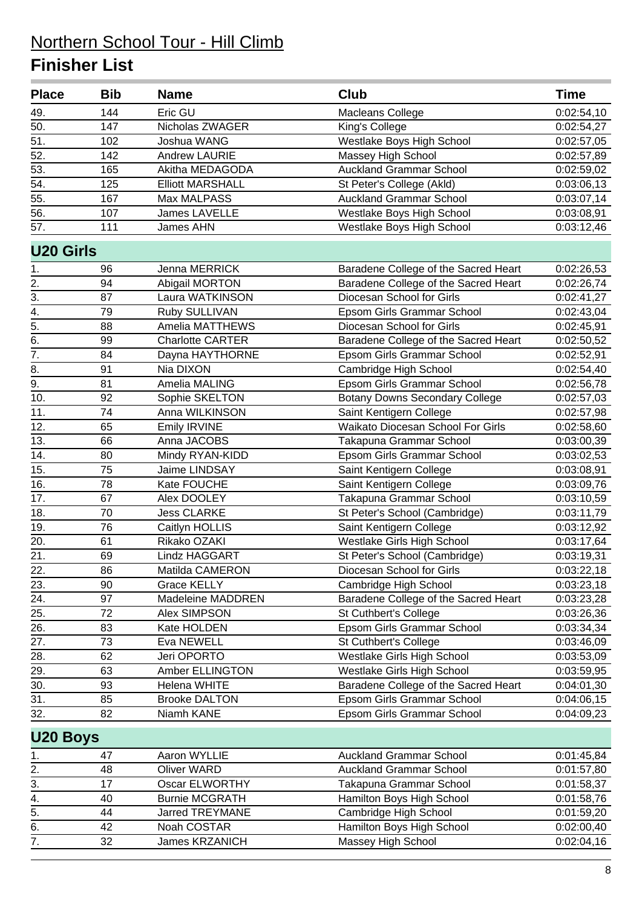| <b>Place</b>          | <b>Bib</b> | <b>Name</b>             | <b>Club</b>                           | <b>Time</b> |
|-----------------------|------------|-------------------------|---------------------------------------|-------------|
| 49.                   | 144        | Eric GU                 | <b>Macleans College</b>               | 0:02:54,10  |
| 50.                   | 147        | Nicholas ZWAGER         | King's College                        | 0:02:54,27  |
| 51.                   | 102        | Joshua WANG             | Westlake Boys High School             | 0:02:57,05  |
| 52.                   | 142        | <b>Andrew LAURIE</b>    | Massey High School                    | 0:02:57,89  |
| 53.                   | 165        | Akitha MEDAGODA         | <b>Auckland Grammar School</b>        | 0:02:59,02  |
| 54.                   | 125        | <b>Elliott MARSHALL</b> | St Peter's College (Akld)             | 0:03:06,13  |
| 55.                   | 167        | Max MALPASS             | <b>Auckland Grammar School</b>        | 0:03:07,14  |
| 56.                   | 107        | <b>James LAVELLE</b>    | Westlake Boys High School             | 0:03:08,91  |
| 57.                   | 111        | <b>James AHN</b>        | Westlake Boys High School             | 0:03:12,46  |
| <b>U20 Girls</b>      |            |                         |                                       |             |
| 1.                    | 96         | Jenna MERRICK           | Baradene College of the Sacred Heart  | 0:02:26,53  |
|                       | 94         | Abigail MORTON          | Baradene College of the Sacred Heart  | 0:02:26,74  |
| $\frac{2}{3}$         | 87         | Laura WATKINSON         | Diocesan School for Girls             | 0:02:41,27  |
| $\overline{4}$ .      | 79         | Ruby SULLIVAN           | Epsom Girls Grammar School            | 0:02:43,04  |
| 5.                    | 88         | Amelia MATTHEWS         | Diocesan School for Girls             | 0:02:45,91  |
| 6.                    | 99         | <b>Charlotte CARTER</b> | Baradene College of the Sacred Heart  | 0:02:50,52  |
| $\overline{7}$ .      | 84         | Dayna HAYTHORNE         | Epsom Girls Grammar School            | 0:02:52,91  |
| 8.                    | 91         | Nia DIXON               | Cambridge High School                 | 0:02:54,40  |
| 9.                    | 81         | Amelia MALING           | Epsom Girls Grammar School            | 0:02:56,78  |
| 10.                   | 92         | Sophie SKELTON          | <b>Botany Downs Secondary College</b> | 0:02:57,03  |
| 11.                   | 74         | Anna WILKINSON          | Saint Kentigern College               | 0:02:57,98  |
| 12.                   | 65         | Emily IRVINE            | Waikato Diocesan School For Girls     | 0:02:58,60  |
| 13.                   | 66         | Anna JACOBS             | Takapuna Grammar School               | 0:03:00,39  |
| 14.                   | 80         | Mindy RYAN-KIDD         | Epsom Girls Grammar School            | 0:03:02,53  |
| 15.                   | 75         | Jaime LINDSAY           | Saint Kentigern College               | 0:03:08,91  |
| 16.                   | 78         | Kate FOUCHE             | Saint Kentigern College               | 0:03:09,76  |
| 17.                   | 67         | Alex DOOLEY             | Takapuna Grammar School               | 0:03:10,59  |
| 18.                   | 70         | <b>Jess CLARKE</b>      | St Peter's School (Cambridge)         | 0:03:11,79  |
| 19.                   | 76         | Caitlyn HOLLIS          | Saint Kentigern College               | 0:03:12,92  |
| 20.                   | 61         | Rikako OZAKI            | Westlake Girls High School            | 0:03:17,64  |
| 21.                   | 69         | Lindz HAGGART           | St Peter's School (Cambridge)         | 0:03:19,31  |
| 22.                   | 86         | Matilda CAMERON         | Diocesan School for Girls             | 0:03:22,18  |
| 23.                   | 90         | <b>Grace KELLY</b>      | Cambridge High School                 | 0:03:23,18  |
| 24.                   | 97         | Madeleine MADDREN       | Baradene College of the Sacred Heart  | 0:03:23,28  |
| 25.                   | 72         | Alex SIMPSON            | St Cuthbert's College                 | 0:03:26,36  |
| 26.                   | 83         | Kate HOLDEN             | Epsom Girls Grammar School            | 0:03:34,34  |
| 27.                   | 73         | Eva NEWELL              | St Cuthbert's College                 | 0:03:46,09  |
| 28.                   | 62         | Jeri OPORTO             | Westlake Girls High School            | 0:03:53,09  |
| 29.                   | 63         | Amber ELLINGTON         | Westlake Girls High School            | 0:03:59,95  |
| 30.                   | 93         | <b>Helena WHITE</b>     | Baradene College of the Sacred Heart  | 0:04:01,30  |
| 31.                   | 85         | <b>Brooke DALTON</b>    | Epsom Girls Grammar School            | 0:04:06,15  |
| 32.                   | 82         | Niamh KANE              | Epsom Girls Grammar School            | 0:04:09,23  |
|                       |            |                         |                                       |             |
| <b>U20 Boys</b><br>1. | 47         | Aaron WYLLIE            | <b>Auckland Grammar School</b>        | 0:01:45,84  |
| 2.                    | 48         | <b>Oliver WARD</b>      | <b>Auckland Grammar School</b>        | 0:01:57,80  |
| $\overline{3}$ .      | 17         | Oscar ELWORTHY          |                                       |             |
|                       | 40         | <b>Burnie MCGRATH</b>   | Takapuna Grammar School               | 0:01:58,37  |
| 4.                    |            |                         | Hamilton Boys High School             | 0:01:58,76  |
| 5.                    | 44         | <b>Jarred TREYMANE</b>  | Cambridge High School                 | 0:01:59,20  |
| 6.                    | 42         | Noah COSTAR             | Hamilton Boys High School             | 0:02:00,40  |
| $\overline{7}$ .      | 32         | <b>James KRZANICH</b>   | Massey High School                    | 0:02:04,16  |